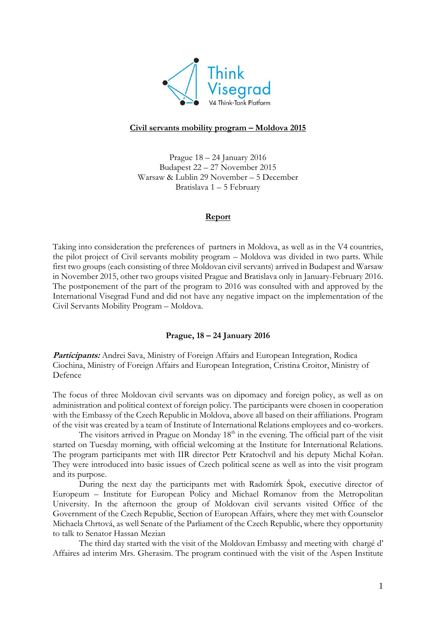

# **Civil servants mobility program – Moldova 2015**

Prague 18 – 24 January 2016 Budapest 22 – 27 November 2015 Warsaw & Lublin 29 November – 5 December Bratislava 1 – 5 February

## **Report**

Taking into consideration the preferences of partners in Moldova, as well as in the V4 countries, the pilot project of Civil servants mobility program – Moldova was divided in two parts. While first two groups (each consisting of three Moldovan civil servants) arrived in Budapest and Warsaw in November 2015, other two groups visited Prague and Bratislava only in January-February 2016. The postponement of the part of the program to 2016 was consulted with and approved by the International Visegrad Fund and did not have any negative impact on the implementation of the Civil Servants Mobility Program – Moldova.

## **Prague, 18 – 24 January 2016**

**Participants:** Andrei Sava, Ministry of Foreign Affairs and European Integration, Rodica Ciochina, Ministry of Foreign Affairs and European Integration, Cristina Croitor, Ministry of Defence

The focus of three Moldovan civil servants was on dipomacy and foreign policy, as well as on administration and political context of foreign policy. The participants were chosen in cooperation with the Embassy of the Czech Republic in Moldova, above all based on their affiliations. Program of the visit was created by a team of Institute of International Relations employees and co-workers.

The visitors arrived in Prague on Monday  $18<sup>th</sup>$  in the evening. The official part of the visit started on Tuesday morning, with official welcoming at the Institute for International Relations. The program participants met with IIR director Petr Kratochvíl and his deputy Michal Kořan. They were introduced into basic issues of Czech political scene as well as into the visit program and its purpose.

During the next day the participants met with Radomírk Špok, executive director of Europeum – Institute for European Policy and Michael Romanov from the Metropolitan University. In the afternoon the group of Moldovan civil servants visited Office of the Government of the Czech Republic, Section of European Affairs, where they met with Counselor Michaela Chrtová, as well Senate of the Parliament of the Czech Republic, where they opportunity to talk to Senator Hassan Mezian

The third day started with the visit of the Moldovan Embassy and meeting with chargé d' Affaires ad interim Mrs. Gherasim. The program continued with the visit of the Aspen Institute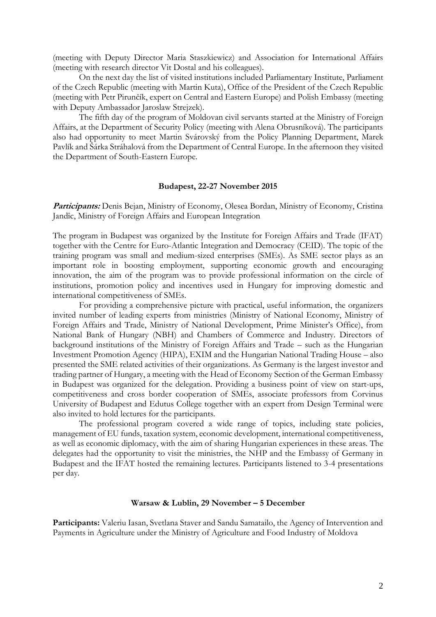(meeting with Deputy Director Maria Staszkiewicz) and Association for International Affairs (meeting with research director Vit Dostal and his colleagues).

On the next day the list of visited institutions included Parliamentary Institute, Parliament of the Czech Republic (meeting with Martin Kuta), Office of the President of the Czech Republic (meeting with Petr Pirunčík, expert on Central and Eastern Europe) and Polish Embassy (meeting with Deputy Ambassador Jaroslaw Strejzek).

The fifth day of the program of Moldovan civil servants started at the Ministry of Foreign Affairs, at the Department of Security Policy (meeting with Alena Obrusníková). The participants also had opportunity to meet Martin Svárovský from the Policy Planning Department, Marek Pavlík and Šárka Stráhalová from the Department of Central Europe. In the afternoon they visited the Department of South-Eastern Europe.

#### **Budapest, 22-27 November 2015**

Participants: Denis Bejan, Ministry of Economy, Olesea Bordan, Ministry of Economy, Cristina Jandîc, Ministry of Foreign Affairs and European Integration

The program in Budapest was organized by the Institute for Foreign Affairs and Trade (IFAT) together with the Centre for Euro-Atlantic Integration and Democracy (CEID). The topic of the training program was small and medium-sized enterprises (SMEs). As SME sector plays as an important role in boosting employment, supporting economic growth and encouraging innovation, the aim of the program was to provide professional information on the circle of institutions, promotion policy and incentives used in Hungary for improving domestic and international competitiveness of SMEs.

For providing a comprehensive picture with practical, useful information, the organizers invited number of leading experts from ministries (Ministry of National Economy, Ministry of Foreign Affairs and Trade, Ministry of National Development, Prime Minister's Office), from National Bank of Hungary (NBH) and Chambers of Commerce and Industry. Directors of background institutions of the Ministry of Foreign Affairs and Trade – such as the Hungarian Investment Promotion Agency (HIPA), EXIM and the Hungarian National Trading House – also presented the SME related activities of their organizations. As Germany is the largest investor and trading partner of Hungary, a meeting with the Head of Economy Section of the German Embassy in Budapest was organized for the delegation. Providing a business point of view on start-ups, competitiveness and cross border cooperation of SMEs, associate professors from Corvinus University of Budapest and Edutus College together with an expert from Design Terminal were also invited to hold lectures for the participants.

The professional program covered a wide range of topics, including state policies, management of EU funds, taxation system, economic development, international competitiveness, as well as economic diplomacy, with the aim of sharing Hungarian experiences in these areas. The delegates had the opportunity to visit the ministries, the NHP and the Embassy of Germany in Budapest and the IFAT hosted the remaining lectures. Participants listened to 3-4 presentations per day.

## **Warsaw & Lublin, 29 November – 5 December**

**Participants:** Valeriu Iasan, Svetlana Staver and Sandu Samatailo, the Agency of Intervention and Payments in Agriculture under the Ministry of Agriculture and Food Industry of Moldova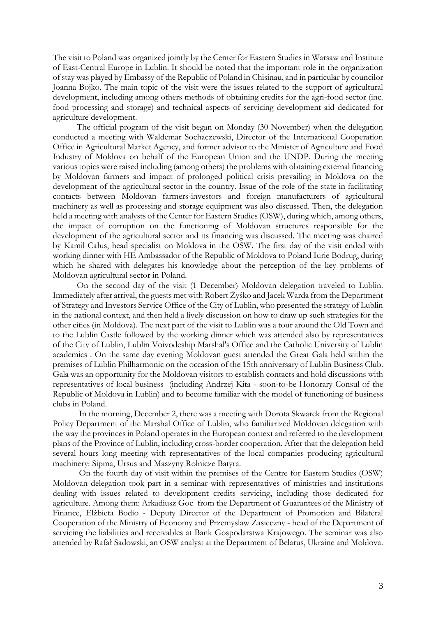The visit to Poland was organized jointly by the Center for Eastern Studies in Warsaw and Institute of East-Central Europe in Lublin. It should be noted that the important role in the organization of stay was played by Embassy of the Republic of Poland in Chisinau, and in particular by councilor Joanna Bojko. The main topic of the visit were the issues related to the support of agricultural development, including among others methods of obtaining credits for the agri-food sector (inc. food processing and storage) and technical aspects of servicing development aid dedicated for agriculture development.

 The official program of the visit began on Monday (30 November) when the delegation conducted a meeting with Waldemar Sochaczewski, Director of the International Cooperation Office in Agricultural Market Agency, and former advisor to the Minister of Agriculture and Food Industry of Moldova on behalf of the European Union and the UNDP. During the meeting various topics were raised including (among others) the problems with obtaining external financing by Moldovan farmers and impact of prolonged political crisis prevailing in Moldova on the development of the agricultural sector in the country. Issue of the role of the state in facilitating contacts between Moldovan farmers-investors and foreign manufacturers of agricultural machinery as well as processing and storage equipment was also discussed. Then, the delegation held a meeting with analysts of the Center for Eastern Studies (OSW), during which, among others, the impact of corruption on the functioning of Moldovan structures responsible for the development of the agricultural sector and its financing was discussed. The meeting was chaired by Kamil Całus, head specialist on Moldova in the OSW. The first day of the visit ended with working dinner with HE Ambassador of the Republic of Moldova to Poland Iurie Bodrug, during which he shared with delegates his knowledge about the perception of the key problems of Moldovan agricultural sector in Poland.

 On the second day of the visit (1 December) Moldovan delegation traveled to Lublin. Immediately after arrival, the guests met with Robert Żyśko and Jacek Warda from the Department of Strategy and Investors Service Office of the City of Lublin, who presented the strategy of Lublin in the national context, and then held a lively discussion on how to draw up such strategies for the other cities (in Moldova). The next part of the visit to Lublin was a tour around the Old Town and to the Lublin Castle followed by the working dinner which was attended also by representatives of the City of Lublin, Lublin Voivodeship Marshal's Office and the Catholic University of Lublin academics . On the same day evening Moldovan guest attended the Great Gala held within the premises of Lublin Philharmonic on the occasion of the 15th anniversary of Lublin Business Club. Gala was an opportunity for the Moldovan visitors to establish contacts and hold discussions with representatives of local business (including Andrzej Kita - soon-to-be Honorary Consul of the Republic of Moldova in Lublin) and to become familiar with the model of functioning of business clubs in Poland.

In the morning, December 2, there was a meeting with Dorota Skwarek from the Regional Policy Department of the Marshal Office of Lublin, who familiarized Moldovan delegation with the way the provinces in Poland operates in the European context and referred to the development plans of the Province of Lublin, including cross-border cooperation. After that the delegation held several hours long meeting with representatives of the local companies producing agricultural machinery: Sipma, Ursus and Maszyny Rolnicze Batyra.

On the fourth day of visit within the premises of the Centre for Eastern Studies (OSW) Moldovan delegation took part in a seminar with representatives of ministries and institutions dealing with issues related to development credits servicing, including those dedicated for agriculture. Among them: Arkadiusz Goc from the Department of Guarantees of the Ministry of Finance, Elżbieta Bodio - Deputy Director of the Department of Promotion and Bilateral Cooperation of the Ministry of Economy and Przemyslaw Zasieczny - head of the Department of servicing the liabilities and receivables at Bank Gospodarstwa Krajowego. The seminar was also attended by Rafał Sadowski, an OSW analyst at the Department of Belarus, Ukraine and Moldova.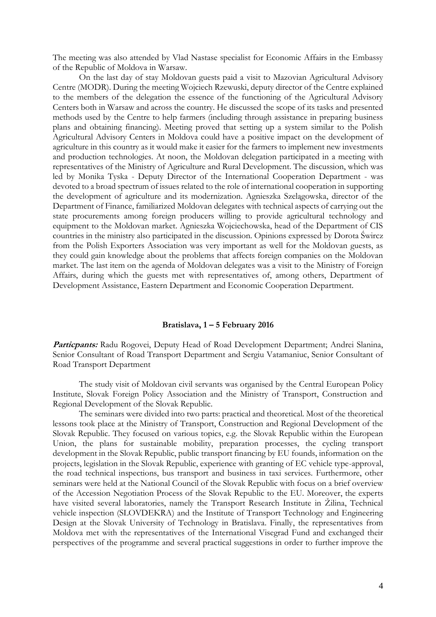The meeting was also attended by Vlad Nastase specialist for Economic Affairs in the Embassy of the Republic of Moldova in Warsaw.

On the last day of stay Moldovan guests paid a visit to Mazovian Agricultural Advisory Centre (MODR). During the meeting Wojciech Rzewuski, deputy director of the Centre explained to the members of the delegation the essence of the functioning of the Agricultural Advisory Centers both in Warsaw and across the country. He discussed the scope of its tasks and presented methods used by the Centre to help farmers (including through assistance in preparing business plans and obtaining financing). Meeting proved that setting up a system similar to the Polish Agricultural Advisory Centers in Moldova could have a positive impact on the development of agriculture in this country as it would make it easier for the farmers to implement new investments and production technologies. At noon, the Moldovan delegation participated in a meeting with representatives of the Ministry of Agriculture and Rural Development. The discussion, which was led by Monika Tyska - Deputy Director of the International Cooperation Department - was devoted to a broad spectrum of issues related to the role of international cooperation in supporting the development of agriculture and its modernization. Agnieszka Szelągowska, director of the Department of Finance, familiarized Moldovan delegates with technical aspects of carrying out the state procurements among foreign producers willing to provide agricultural technology and equipment to the Moldovan market. Agnieszka Wojciechowska, head of the Department of CIS countries in the ministry also participated in the discussion. Opinions expressed by Dorota Śwircz from the Polish Exporters Association was very important as well for the Moldovan guests, as they could gain knowledge about the problems that affects foreign companies on the Moldovan market. The last item on the agenda of Moldovan delegates was a visit to the Ministry of Foreign Affairs, during which the guests met with representatives of, among others, Department of Development Assistance, Eastern Department and Economic Cooperation Department.

## **Bratislava, 1 – 5 February 2016**

Particpants: Radu Rogovei, Deputy Head of Road Development Department; Andrei Slanina, Senior Consultant of Road Transport Department and Sergiu Vatamaniuc, Senior Consultant of Road Transport Department

The study visit of Moldovan civil servants was organised by the Central European Policy Institute, Slovak Foreign Policy Association and the Ministry of Transport, Construction and Regional Development of the Slovak Republic.

The seminars were divided into two parts: practical and theoretical. Most of the theoretical lessons took place at the Ministry of Transport, Construction and Regional Development of the Slovak Republic. They focused on various topics, e.g. the Slovak Republic within the European Union, the plans for sustainable mobility, preparation processes, the cycling transport development in the Slovak Republic, public transport financing by EU founds, information on the projects, legislation in the Slovak Republic, experience with granting of EC vehicle type-approval, the road technical inspections, bus transport and business in taxi services. Furthermore, other seminars were held at the National Council of the Slovak Republic with focus on a brief overview of the Accession Negotiation Process of the Slovak Republic to the EU. Moreover, the experts have visited several laboratories, namely the Transport Research Institute in Žilina, Technical vehicle inspection (SLOVDEKRA) and the Institute of Transport Technology and Engineering Design at the Slovak University of Technology in Bratislava. Finally, the representatives from Moldova met with the representatives of the International Visegrad Fund and exchanged their perspectives of the programme and several practical suggestions in order to further improve the